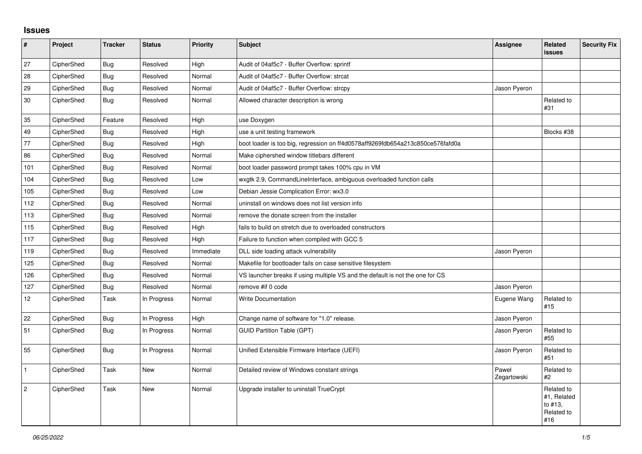## **Issues**

| $\pmb{\sharp}$  | Project    | <b>Tracker</b> | <b>Status</b> | <b>Priority</b> | <b>Subject</b>                                                                 | <b>Assignee</b>      | Related<br>issues                                         | <b>Security Fix</b> |
|-----------------|------------|----------------|---------------|-----------------|--------------------------------------------------------------------------------|----------------------|-----------------------------------------------------------|---------------------|
| 27              | CipherShed | Bug            | Resolved      | High            | Audit of 04af5c7 - Buffer Overflow: sprintf                                    |                      |                                                           |                     |
| 28              | CipherShed | Bug            | Resolved      | Normal          | Audit of 04af5c7 - Buffer Overflow: strcat                                     |                      |                                                           |                     |
| 29              | CipherShed | Bug            | Resolved      | Normal          | Audit of 04af5c7 - Buffer Overflow: strcpy                                     | Jason Pyeron         |                                                           |                     |
| 30              | CipherShed | Bug            | Resolved      | Normal          | Allowed character description is wrong                                         |                      | Related to<br>#31                                         |                     |
| 35              | CipherShed | Feature        | Resolved      | High            | use Doxygen                                                                    |                      |                                                           |                     |
| 49              | CipherShed | Bug            | Resolved      | High            | use a unit testing framework                                                   |                      | Blocks #38                                                |                     |
| 77              | CipherShed | Bug            | Resolved      | High            | boot loader is too big, regression on ff4d0578aff9269fdb654a213c850ce576fafd0a |                      |                                                           |                     |
| 86              | CipherShed | Bug            | Resolved      | Normal          | Make ciphershed window titlebars different                                     |                      |                                                           |                     |
| 101             | CipherShed | Bug            | Resolved      | Normal          | boot loader password prompt takes 100% cpu in VM                               |                      |                                                           |                     |
| 104             | CipherShed | Bug            | Resolved      | Low             | wxgtk 2.9, CommandLineInterface, ambiguous overloaded function calls           |                      |                                                           |                     |
| 105             | CipherShed | Bug            | Resolved      | Low             | Debian Jessie Complication Error: wx3.0                                        |                      |                                                           |                     |
| 112             | CipherShed | Bug            | Resolved      | Normal          | uninstall on windows does not list version info                                |                      |                                                           |                     |
| 113             | CipherShed | Bug            | Resolved      | Normal          | remove the donate screen from the installer                                    |                      |                                                           |                     |
| 115             | CipherShed | Bug            | Resolved      | High            | fails to build on stretch due to overloaded constructors                       |                      |                                                           |                     |
| 117             | CipherShed | Bug            | Resolved      | High            | Failure to function when compiled with GCC 5                                   |                      |                                                           |                     |
| 119             | CipherShed | Bug            | Resolved      | Immediate       | DLL side loading attack vulnerability                                          | Jason Pyeron         |                                                           |                     |
| 125             | CipherShed | Bug            | Resolved      | Normal          | Makefile for bootloader fails on case sensitive filesystem                     |                      |                                                           |                     |
| 126             | CipherShed | Bug            | Resolved      | Normal          | VS launcher breaks if using multiple VS and the default is not the one for CS  |                      |                                                           |                     |
| 127             | CipherShed | <b>Bug</b>     | Resolved      | Normal          | remove #if 0 code                                                              | Jason Pyeron         |                                                           |                     |
| 12 <sup>°</sup> | CipherShed | Task           | In Progress   | Normal          | <b>Write Documentation</b>                                                     | Eugene Wang          | Related to<br>#15                                         |                     |
| 22              | CipherShed | Bug            | In Progress   | High            | Change name of software for "1.0" release.                                     | Jason Pyeron         |                                                           |                     |
| 51              | CipherShed | Bug            | In Progress   | Normal          | <b>GUID Partition Table (GPT)</b>                                              | Jason Pyeron         | Related to<br>#55                                         |                     |
| 55              | CipherShed | <b>Bug</b>     | In Progress   | Normal          | Unified Extensible Firmware Interface (UEFI)                                   | Jason Pyeron         | Related to<br>#51                                         |                     |
| $\mathbf{1}$    | CipherShed | Task           | New           | Normal          | Detailed review of Windows constant strings                                    | Paweł<br>Zegartowski | Related to<br>#2                                          |                     |
| $\overline{2}$  | CipherShed | Task           | <b>New</b>    | Normal          | Upgrade installer to uninstall TrueCrypt                                       |                      | Related to<br>#1, Related<br>to #13.<br>Related to<br>#16 |                     |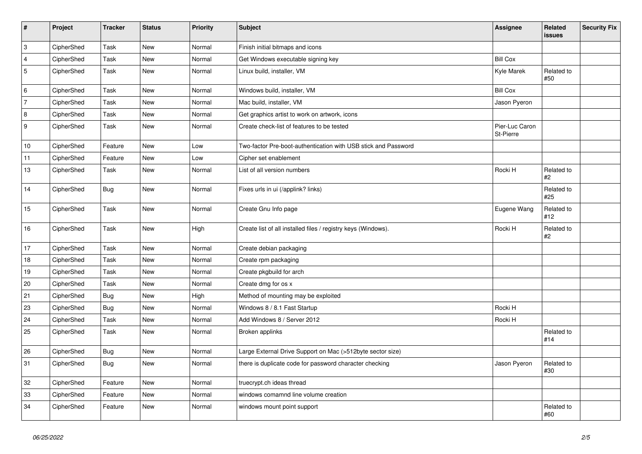| $\vert$ #      | Project    | <b>Tracker</b> | <b>Status</b> | Priority | <b>Subject</b>                                                 | Assignee                    | <b>Related</b><br>issues | <b>Security Fix</b> |
|----------------|------------|----------------|---------------|----------|----------------------------------------------------------------|-----------------------------|--------------------------|---------------------|
| $\overline{3}$ | CipherShed | Task           | <b>New</b>    | Normal   | Finish initial bitmaps and icons                               |                             |                          |                     |
| $\overline{4}$ | CipherShed | Task           | <b>New</b>    | Normal   | Get Windows executable signing key                             | <b>Bill Cox</b>             |                          |                     |
| 5              | CipherShed | Task           | <b>New</b>    | Normal   | Linux build, installer, VM                                     | Kyle Marek                  | Related to<br>#50        |                     |
| 6              | CipherShed | Task           | <b>New</b>    | Normal   | Windows build, installer, VM                                   | <b>Bill Cox</b>             |                          |                     |
| 7              | CipherShed | Task           | New           | Normal   | Mac build, installer, VM                                       | Jason Pyeron                |                          |                     |
| 8              | CipherShed | Task           | New           | Normal   | Get graphics artist to work on artwork, icons                  |                             |                          |                     |
| 9              | CipherShed | Task           | New           | Normal   | Create check-list of features to be tested                     | Pier-Luc Caron<br>St-Pierre |                          |                     |
| 10             | CipherShed | Feature        | <b>New</b>    | Low      | Two-factor Pre-boot-authentication with USB stick and Password |                             |                          |                     |
| 11             | CipherShed | Feature        | <b>New</b>    | Low      | Cipher set enablement                                          |                             |                          |                     |
| 13             | CipherShed | Task           | New           | Normal   | List of all version numbers                                    | Rocki H                     | Related to<br>#2         |                     |
| 14             | CipherShed | <b>Bug</b>     | <b>New</b>    | Normal   | Fixes urls in ui (/applink? links)                             |                             | Related to<br>#25        |                     |
| 15             | CipherShed | Task           | New           | Normal   | Create Gnu Info page                                           | Eugene Wang                 | Related to<br>#12        |                     |
| 16             | CipherShed | Task           | New           | High     | Create list of all installed files / registry keys (Windows).  | Rocki H                     | Related to<br>#2         |                     |
| 17             | CipherShed | Task           | <b>New</b>    | Normal   | Create debian packaging                                        |                             |                          |                     |
| 18             | CipherShed | Task           | <b>New</b>    | Normal   | Create rpm packaging                                           |                             |                          |                     |
| 19             | CipherShed | Task           | New           | Normal   | Create pkgbuild for arch                                       |                             |                          |                     |
| 20             | CipherShed | Task           | <b>New</b>    | Normal   | Create dmg for os x                                            |                             |                          |                     |
| 21             | CipherShed | <b>Bug</b>     | New           | High     | Method of mounting may be exploited                            |                             |                          |                     |
| 23             | CipherShed | Bug            | <b>New</b>    | Normal   | Windows 8 / 8.1 Fast Startup                                   | Rocki H                     |                          |                     |
| 24             | CipherShed | Task           | New           | Normal   | Add Windows 8 / Server 2012                                    | Rocki H                     |                          |                     |
| 25             | CipherShed | Task           | <b>New</b>    | Normal   | Broken applinks                                                |                             | Related to<br>#14        |                     |
| 26             | CipherShed | <b>Bug</b>     | New           | Normal   | Large External Drive Support on Mac (>512byte sector size)     |                             |                          |                     |
| 31             | CipherShed | <b>Bug</b>     | New           | Normal   | there is duplicate code for password character checking        | Jason Pyeron                | Related to<br>#30        |                     |
| $32\,$         | CipherShed | Feature        | <b>New</b>    | Normal   | truecrypt.ch ideas thread                                      |                             |                          |                     |
| 33             | CipherShed | Feature        | New           | Normal   | windows comamnd line volume creation                           |                             |                          |                     |
| 34             | CipherShed | Feature        | New           | Normal   | windows mount point support                                    |                             | Related to<br>#60        |                     |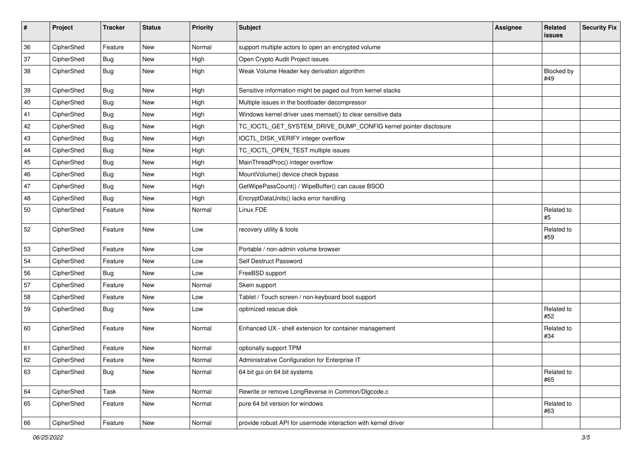| #  | Project    | <b>Tracker</b> | <b>Status</b> | Priority | Subject                                                         | <b>Assignee</b> | Related<br>issues | <b>Security Fix</b> |
|----|------------|----------------|---------------|----------|-----------------------------------------------------------------|-----------------|-------------------|---------------------|
| 36 | CipherShed | Feature        | <b>New</b>    | Normal   | support multiple actors to open an encrypted volume             |                 |                   |                     |
| 37 | CipherShed | <b>Bug</b>     | New           | High     | Open Crypto Audit Project issues                                |                 |                   |                     |
| 38 | CipherShed | <b>Bug</b>     | New           | High     | Weak Volume Header key derivation algorithm                     |                 | Blocked by<br>#49 |                     |
| 39 | CipherShed | <b>Bug</b>     | New           | High     | Sensitive information might be paged out from kernel stacks     |                 |                   |                     |
| 40 | CipherShed | <b>Bug</b>     | New           | High     | Multiple issues in the bootloader decompressor                  |                 |                   |                     |
| 41 | CipherShed | <b>Bug</b>     | New           | High     | Windows kernel driver uses memset() to clear sensitive data     |                 |                   |                     |
| 42 | CipherShed | <b>Bug</b>     | New           | High     | TC_IOCTL_GET_SYSTEM_DRIVE_DUMP_CONFIG kernel pointer disclosure |                 |                   |                     |
| 43 | CipherShed | <b>Bug</b>     | New           | High     | IOCTL_DISK_VERIFY integer overflow                              |                 |                   |                     |
| 44 | CipherShed | Bug            | New           | High     | TC_IOCTL_OPEN_TEST multiple issues                              |                 |                   |                     |
| 45 | CipherShed | <b>Bug</b>     | New           | High     | MainThreadProc() integer overflow                               |                 |                   |                     |
| 46 | CipherShed | <b>Bug</b>     | New           | High     | MountVolume() device check bypass                               |                 |                   |                     |
| 47 | CipherShed | Bug            | New           | High     | GetWipePassCount() / WipeBuffer() can cause BSOD                |                 |                   |                     |
| 48 | CipherShed | Bug            | New           | High     | EncryptDataUnits() lacks error handling                         |                 |                   |                     |
| 50 | CipherShed | Feature        | New           | Normal   | Linux FDE                                                       |                 | Related to<br>#5  |                     |
| 52 | CipherShed | Feature        | New           | Low      | recovery utility & tools                                        |                 | Related to<br>#59 |                     |
| 53 | CipherShed | Feature        | New           | Low      | Portable / non-admin volume browser                             |                 |                   |                     |
| 54 | CipherShed | Feature        | New           | Low      | Self Destruct Password                                          |                 |                   |                     |
| 56 | CipherShed | Bug            | New           | Low      | FreeBSD support                                                 |                 |                   |                     |
| 57 | CipherShed | Feature        | New           | Normal   | Skein support                                                   |                 |                   |                     |
| 58 | CipherShed | Feature        | New           | Low      | Tablet / Touch screen / non-keyboard boot support               |                 |                   |                     |
| 59 | CipherShed | <b>Bug</b>     | New           | Low      | optimized rescue disk                                           |                 | Related to<br>#52 |                     |
| 60 | CipherShed | Feature        | New           | Normal   | Enhanced UX - shell extension for container management          |                 | Related to<br>#34 |                     |
| 61 | CipherShed | Feature        | <b>New</b>    | Normal   | optionally support TPM                                          |                 |                   |                     |
| 62 | CipherShed | Feature        | New           | Normal   | Administrative Configuration for Enterprise IT                  |                 |                   |                     |
| 63 | CipherShed | Bug            | New           | Normal   | 64 bit gui on 64 bit systems                                    |                 | Related to<br>#65 |                     |
| 64 | CipherShed | Task           | New           | Normal   | Rewrite or remove LongReverse in Common/Dlgcode.c               |                 |                   |                     |
| 65 | CipherShed | Feature        | New           | Normal   | pure 64 bit version for windows                                 |                 | Related to<br>#63 |                     |
| 66 | CipherShed | Feature        | New           | Normal   | provide robust API for usermode interaction with kernel driver  |                 |                   |                     |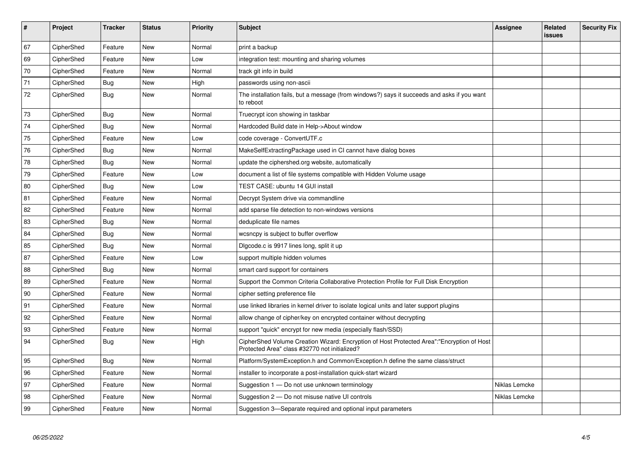| $\sharp$ | Project    | <b>Tracker</b> | <b>Status</b> | <b>Priority</b> | <b>Subject</b>                                                                                                                             | Assignee      | Related<br><b>issues</b> | <b>Security Fix</b> |
|----------|------------|----------------|---------------|-----------------|--------------------------------------------------------------------------------------------------------------------------------------------|---------------|--------------------------|---------------------|
| 67       | CipherShed | Feature        | <b>New</b>    | Normal          | print a backup                                                                                                                             |               |                          |                     |
| 69       | CipherShed | Feature        | New           | Low             | integration test: mounting and sharing volumes                                                                                             |               |                          |                     |
| 70       | CipherShed | Feature        | <b>New</b>    | Normal          | track git info in build                                                                                                                    |               |                          |                     |
| 71       | CipherShed | Bug            | <b>New</b>    | High            | passwords using non-ascii                                                                                                                  |               |                          |                     |
| $72\,$   | CipherShed | Bug            | New           | Normal          | The installation fails, but a message (from windows?) says it succeeds and asks if you want<br>to reboot                                   |               |                          |                     |
| 73       | CipherShed | Bug            | New           | Normal          | Truecrypt icon showing in taskbar                                                                                                          |               |                          |                     |
| 74       | CipherShed | Bug            | <b>New</b>    | Normal          | Hardcoded Build date in Help->About window                                                                                                 |               |                          |                     |
| 75       | CipherShed | Feature        | New           | Low             | code coverage - ConvertUTF.c                                                                                                               |               |                          |                     |
| 76       | CipherShed | <b>Bug</b>     | New           | Normal          | MakeSelfExtractingPackage used in CI cannot have dialog boxes                                                                              |               |                          |                     |
| 78       | CipherShed | Bug            | New           | Normal          | update the ciphershed.org website, automatically                                                                                           |               |                          |                     |
| 79       | CipherShed | Feature        | New           | Low             | document a list of file systems compatible with Hidden Volume usage                                                                        |               |                          |                     |
| 80       | CipherShed | Bug            | New           | Low             | TEST CASE: ubuntu 14 GUI install                                                                                                           |               |                          |                     |
| 81       | CipherShed | Feature        | <b>New</b>    | Normal          | Decrypt System drive via commandline                                                                                                       |               |                          |                     |
| 82       | CipherShed | Feature        | New           | Normal          | add sparse file detection to non-windows versions                                                                                          |               |                          |                     |
| 83       | CipherShed | Bug            | New           | Normal          | deduplicate file names                                                                                                                     |               |                          |                     |
| 84       | CipherShed | Bug            | <b>New</b>    | Normal          | wcsncpy is subject to buffer overflow                                                                                                      |               |                          |                     |
| 85       | CipherShed | Bug            | <b>New</b>    | Normal          | Digcode.c is 9917 lines long, split it up                                                                                                  |               |                          |                     |
| 87       | CipherShed | Feature        | <b>New</b>    | Low             | support multiple hidden volumes                                                                                                            |               |                          |                     |
| 88       | CipherShed | Bug            | New           | Normal          | smart card support for containers                                                                                                          |               |                          |                     |
| 89       | CipherShed | Feature        | <b>New</b>    | Normal          | Support the Common Criteria Collaborative Protection Profile for Full Disk Encryption                                                      |               |                          |                     |
| 90       | CipherShed | Feature        | New           | Normal          | cipher setting preference file                                                                                                             |               |                          |                     |
| 91       | CipherShed | Feature        | New           | Normal          | use linked libraries in kernel driver to isolate logical units and later support plugins                                                   |               |                          |                     |
| 92       | CipherShed | Feature        | New           | Normal          | allow change of cipher/key on encrypted container without decrypting                                                                       |               |                          |                     |
| 93       | CipherShed | Feature        | New           | Normal          | support "quick" encrypt for new media (especially flash/SSD)                                                                               |               |                          |                     |
| 94       | CipherShed | Bug            | New           | High            | CipherShed Volume Creation Wizard: Encryption of Host Protected Area":"Encryption of Host<br>Protected Area" class #32770 not initialized? |               |                          |                     |
| 95       | CipherShed | <b>Bug</b>     | New           | Normal          | Platform/SystemException.h and Common/Exception.h define the same class/struct                                                             |               |                          |                     |
| 96       | CipherShed | Feature        | New           | Normal          | installer to incorporate a post-installation quick-start wizard                                                                            |               |                          |                     |
| 97       | CipherShed | Feature        | New           | Normal          | Suggestion 1 - Do not use unknown terminology                                                                                              | Niklas Lemcke |                          |                     |
| 98       | CipherShed | Feature        | New           | Normal          | Suggestion 2 - Do not misuse native UI controls                                                                                            | Niklas Lemcke |                          |                     |
| 99       | CipherShed | Feature        | <b>New</b>    | Normal          | Suggestion 3-Separate required and optional input parameters                                                                               |               |                          |                     |